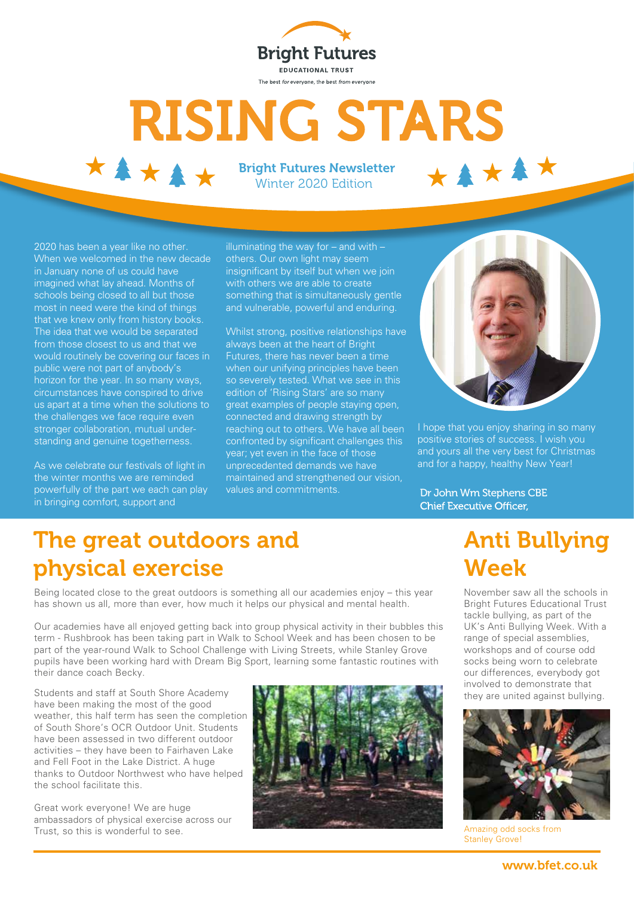

## **RISING STARS** \*\*\*\*\* \*\*\*\*\*

Bright Futures Newsletter Winter 2020 Edition

2020 has been a year like no other. When we welcomed in the new decade in January none of us could have imagined what lay ahead. Months of schools being closed to all but those most in need were the kind of things that we knew only from history books. The idea that we would be separated from those closest to us and that we would routinely be covering our faces in public were not part of anybody's horizon for the year. In so many ways, circumstances have conspired to drive us apart at a time when the solutions to the challenges we face require even stronger collaboration, mutual understanding and genuine togetherness.

As we celebrate our festivals of light in the winter months we are reminded powerfully of the part we each can play in bringing comfort, support and

illuminating the way for  $-$  and with  $$ others. Our own light may seem insignificant by itself but when we join with others we are able to create something that is simultaneously gentle and vulnerable, powerful and enduring.

Whilst strong, positive relationships have always been at the heart of Bright Futures, there has never been a time when our unifying principles have been so severely tested. What we see in this edition of 'Rising Stars' are so many great examples of people staying open, connected and drawing strength by reaching out to others. We have all been confronted by significant challenges this year; yet even in the face of those unprecedented demands we have maintained and strengthened our vision, values and commitments.



I hope that you enjoy sharing in so many positive stories of success. I wish you and yours all the very best for Christmas and for a happy, healthy New Year!

Dr John Wm Stephens CBE **Chief Executive Officer.** 

### The great outdoors and physical exercise

Being located close to the great outdoors is something all our academies enjoy – this year has shown us all, more than ever, how much it helps our physical and mental health.

Our academies have all enjoyed getting back into group physical activity in their bubbles this term - Rushbrook has been taking part in Walk to School Week and has been chosen to be part of the year-round Walk to School Challenge with Living Streets, while Stanley Grove pupils have been working hard with Dream Big Sport, learning some fantastic routines with their dance coach Becky.

Students and staff at South Shore Academy they are united against bullying.<br>have been making the most of the good weather, this half term has seen the completion of South Shore's OCR Outdoor Unit. Students have been assessed in two different outdoor activities – they have been to Fairhaven Lake and Fell Foot in the Lake District. A huge thanks to Outdoor Northwest who have helped the school facilitate this.

Great work everyone! We are huge ambassadors of physical exercise across our Trust, so this is wonderful to see. Amazing odd socks from



### Anti Bullying Week

November saw all the schools in Bright Futures Educational Trust tackle bullying, as part of the UK's Anti Bullying Week. With a range of special assemblies, workshops and of course odd socks being worn to celebrate our differences, everybody got involved to demonstrate that



Stanley Grove!

www.bfet.co.uk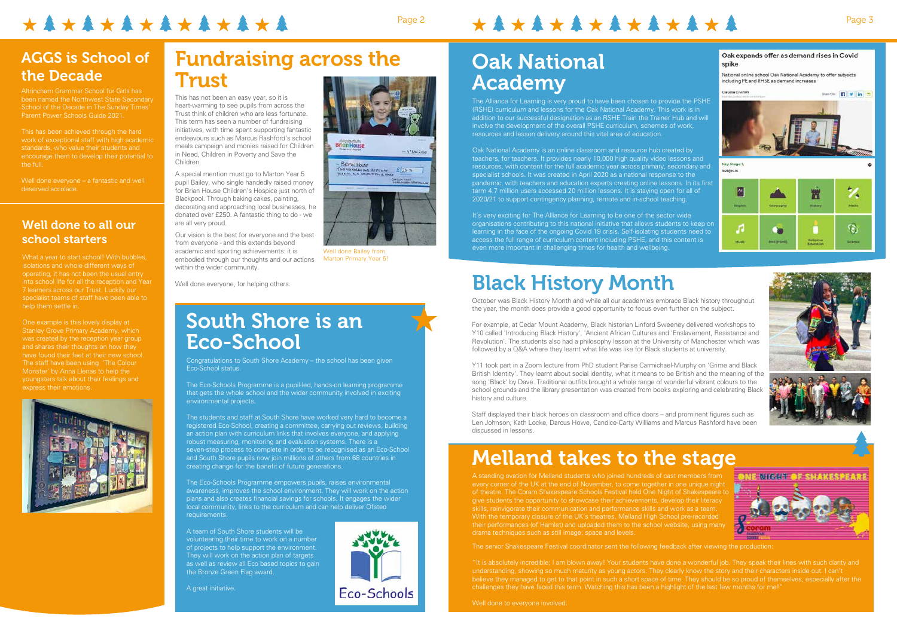What a year to start school! With bubbles, isolations and whole different ways of 7 learners across our Trust. Luckily our specialist teams of staff have been able to help them settle in.

One example is this lovely display at and shares their thoughts on how they have found their feet at their new school. The staff have been using 'The Colour youngsters talk about their feelings and express their emotions.



Well done everyone – a fantastic and well deserved accolade.

#### Well done to all our school starters

# \*\*\*\*\*\*\*\*\*\*\*\*\*\*

# Page 2 Page 3

### Fundraising across the Trust

### AGGS is School of the Decade

Altrincham Grammar School for Girls has been named the Northwest State Secondary School of the Decade in The Sunday Times' Parent Power Schools Guide 2021.

This has been achieved through the hard standards, who value their students and encourage them to develop their potential to the full.

This has not been an easy year, so it is heart-warming to see pupils from across the Trust think of children who are less fortunate. This term has seen a number of fundraising initiatives, with time spent supporting fantastic endeavours such as Marcus Rashford's school meals campaign and monies raised for Children in Need, Children in Poverty and Save the Children.

A special mention must go to Marton Year 5 pupil Bailey, who single handedly raised money for Brian House Children's Hospice just north of Blackpool. Through baking cakes, painting, decorating and approaching local businesses, he donated over £250. A fantastic thing to do - we are all very proud.

Our vision is the best for everyone and the best from everyone - and this extends beyond academic and sporting achievements: it is embodied through our thoughts and our actions within the wider community.

Well done everyone, for helping others.

### South Shore is an Eco-School

Congratulations to South Shore Academy – the school has been given Eco-School status.

The Eco-Schools Programme is a pupil-led, hands-on learning programme that gets the whole school and the wider community involved in exciting environmental projects.

The students and staff at South Shore have worked very hard to become a registered Eco-School, creating a committee, carrying out reviews, building an action plan with curriculum links that involves everyone, and applying robust measuring, monitoring and evaluation systems. There is a seven-step process to complete in order to be recognised as an Eco-School and South Shore pupils now join millions of others from 68 countries in creating change for the benefit of future generations.

> believe they managed to get to that point in such a short space of time. They should be so proud of themselves, especially after the challenges they have faced this term. Watching this has been a highlight of the last few months for me!









The Eco-Schools Programme empowers pupils, raises environmental plans and also creates financial savings for schools. It engages the wider local community, links to the curriculum and can help deliver Ofsted requirements.

A team of South Shore students will be volunteering their time to work on a number of projects to help support the environment. They will work on the action plan of targets as well as review all Eco based topics to gain the Bronze Green Flag award.

A great initiative.

# Oak National Academy

The Alliance for Learning is very proud to have been chosen to provide the PSHE (RSHE) curriculum and lessons for the Oak National Academy. This work is in addition to our successful designation as an RSHE Train the Trainer Hub and will involve the development of the overall PSHE curriculum, schemes of work, resources and lesson delivery around this vital area of education.

Oak National Academy is an online classroom and resource hub created by teachers, for teachers. It provides nearly 10,000 high quality video lessons and resources, with content for the full academic year across primary, secondary and specialist schools. It was created in April 2020 as a national response to the pandemic, with teachers and education experts creating online lessons. In its first term 4.7 million users accessed 20 million lessons. It is staying open for all of 2020/21 to support contingency planning, remote and in-school teaching.

It's very exciting for The Alliance for Learning to be one of the sector wide organisations contributing to this national initiative that allows students to keep on learning in the face of the ongoing Covid 19 crisis. Self-isolating students need to access the full range of curriculum content including PSHE, and this content is even more important in challenging times for health and wellbeing.

# Melland takes to the stage

A standing ovation for Melland students who joined hundreds of cast members from every corner of the UK at the end of November, to come together in one unique night of theatre. The Coram Shakespeare Schools Festival held One Night of Shakespeare to give students the opportunity to showcase their achievements, develop their literacy skills, reinvigorate their communication and performance skills and work as a team. With the temporary closure of the UK's theatres, Melland High School pre-recorded their performances (of Hamlet) and uploaded them to the school website, using many drama techniques such as still image, space and levels.

The senior Shakespeare Festival coordinator sent the following feedback after viewing the production:

# Black History Month

October was Black History Month and while all our academies embrace Black history throughout the year, the month does provide a good opportunity to focus even further on the subject.

For example, at Cedar Mount Academy, Black historian Linford Sweeney delivered workshops to Y10 called 'Introducing Black History', 'Ancient African Cultures and 'Enslavement, Resistance and Revolution'. The students also had a philosophy lesson at the University of Manchester which was followed by a Q&A where they learnt what life was like for Black students at university.

Y11 took part in a Zoom lecture from PhD student Parise Carmichael-Murphy on 'Grime and Black British Identity'. They learnt about social identity, what it means to be British and the meaning of the song 'Black' by Dave. Traditional outfits brought a whole range of wonderful vibrant colours to the school grounds and the library presentation was created from books exploring and celebrating Black history and culture.

Staff displayed their black heroes on classroom and office doors – and prominent figures such as Len Johnson, Kath Locke, Darcus Howe, Candice-Carty Williams and Marcus Rashford have been discussed in lessons.



Well done Bailey from Marton Primary Year 5!

Eco-Schools